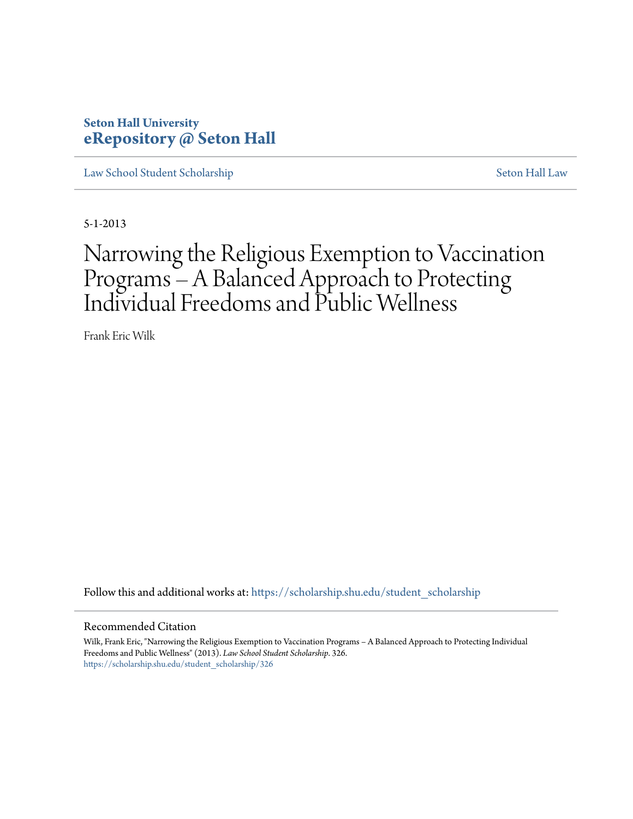# **Seton Hall University [eRepository @ Seton Hall](https://scholarship.shu.edu?utm_source=scholarship.shu.edu%2Fstudent_scholarship%2F326&utm_medium=PDF&utm_campaign=PDFCoverPages)**

[Law School Student Scholarship](https://scholarship.shu.edu/student_scholarship?utm_source=scholarship.shu.edu%2Fstudent_scholarship%2F326&utm_medium=PDF&utm_campaign=PDFCoverPages) [Seton Hall Law](https://scholarship.shu.edu/law?utm_source=scholarship.shu.edu%2Fstudent_scholarship%2F326&utm_medium=PDF&utm_campaign=PDFCoverPages)

5-1-2013

# Narrowing the Religious Exemption to Vaccination Programs – A Balanced Approach to Protecting Individual Freedoms and Public Wellness

Frank Eric Wilk

Follow this and additional works at: [https://scholarship.shu.edu/student\\_scholarship](https://scholarship.shu.edu/student_scholarship?utm_source=scholarship.shu.edu%2Fstudent_scholarship%2F326&utm_medium=PDF&utm_campaign=PDFCoverPages)

#### Recommended Citation

Wilk, Frank Eric, "Narrowing the Religious Exemption to Vaccination Programs – A Balanced Approach to Protecting Individual Freedoms and Public Wellness" (2013). *Law School Student Scholarship*. 326. [https://scholarship.shu.edu/student\\_scholarship/326](https://scholarship.shu.edu/student_scholarship/326?utm_source=scholarship.shu.edu%2Fstudent_scholarship%2F326&utm_medium=PDF&utm_campaign=PDFCoverPages)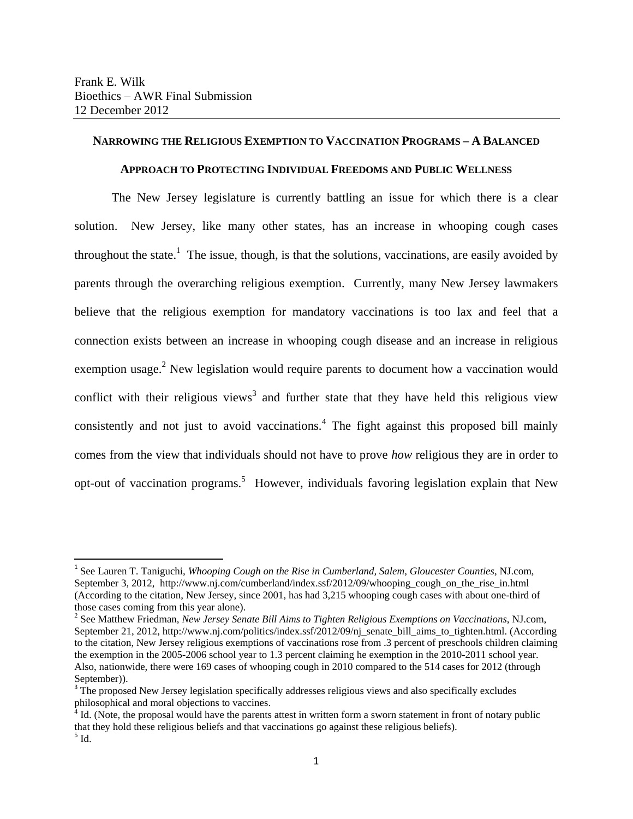$\overline{\phantom{a}}$ 

#### **NARROWING THE RELIGIOUS EXEMPTION TO VACCINATION PROGRAMS – A BALANCED**

#### **APPROACH TO PROTECTING INDIVIDUAL FREEDOMS AND PUBLIC WELLNESS**

The New Jersey legislature is currently battling an issue for which there is a clear solution. New Jersey, like many other states, has an increase in whooping cough cases throughout the state.<sup>1</sup> The issue, though, is that the solutions, vaccinations, are easily avoided by parents through the overarching religious exemption. Currently, many New Jersey lawmakers believe that the religious exemption for mandatory vaccinations is too lax and feel that a connection exists between an increase in whooping cough disease and an increase in religious exemption usage.<sup>2</sup> New legislation would require parents to document how a vaccination would conflict with their religious views<sup>3</sup> and further state that they have held this religious view consistently and not just to avoid vaccinations.<sup>4</sup> The fight against this proposed bill mainly comes from the view that individuals should not have to prove *how* religious they are in order to opt-out of vaccination programs.<sup>5</sup> However, individuals favoring legislation explain that New

<sup>&</sup>lt;sup>1</sup> See Lauren T. Taniguchi, *Whooping Cough on the Rise in Cumberland, Salem, Gloucester Counties*, NJ.com, September 3, 2012, http://www.nj.com/cumberland/index.ssf/2012/09/whooping\_cough\_on\_the\_rise\_in.html (According to the citation, New Jersey, since 2001, has had 3,215 whooping cough cases with about one-third of those cases coming from this year alone).

<sup>2</sup> See Matthew Friedman, *New Jersey Senate Bill Aims to Tighten Religious Exemptions on Vaccinations*, NJ.com, September 21, 2012, [http://www.nj.com/politics/index.ssf/2012/09/nj\\_senate\\_bill\\_aims\\_to\\_tighten.html.](http://www.nj.com/politics/index.ssf/2012/09/nj_senate_bill_aims_to_tighten.html) (According to the citation, New Jersey religious exemptions of vaccinations rose from .3 percent of preschools children claiming the exemption in the 2005-2006 school year to 1.3 percent claiming he exemption in the 2010-2011 school year. Also, nationwide, there were 169 cases of whooping cough in 2010 compared to the 514 cases for 2012 (through September)).

<sup>&</sup>lt;sup>3</sup> The proposed New Jersey legislation specifically addresses religious views and also specifically excludes

philosophical and moral objections to vaccines.<br><sup>4</sup> Id. (Note, the proposal would have the parents attest in written form a sworn statement in front of notary public that they hold these religious beliefs and that vaccinations go against these religious beliefs).  $<sup>5</sup>$  Id.</sup>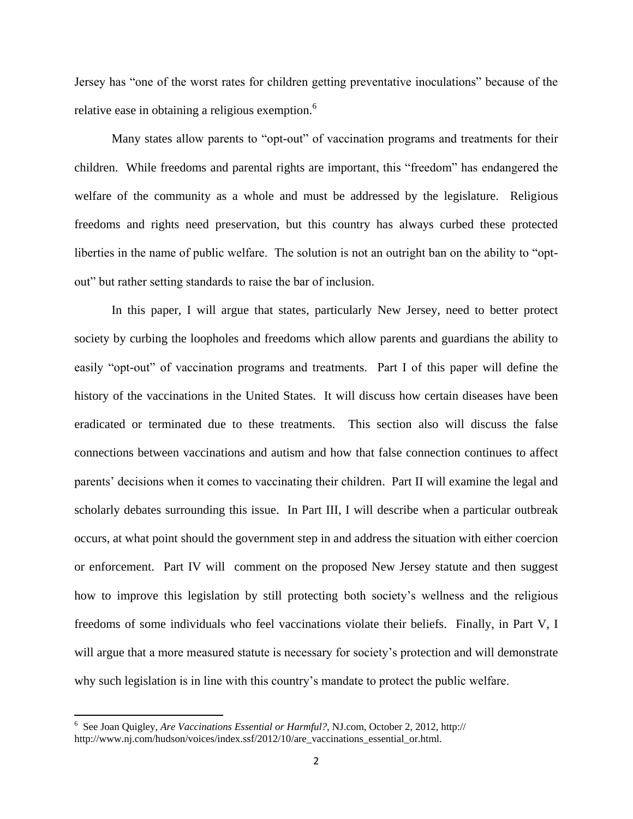Jersey has "one of the worst rates for children getting preventative inoculations" because of the relative ease in obtaining a religious exemption.<sup>6</sup>

Many states allow parents to "opt-out" of vaccination programs and treatments for their children. While freedoms and parental rights are important, this "freedom" has endangered the welfare of the community as a whole and must be addressed by the legislature. Religious freedoms and rights need preservation, but this country has always curbed these protected liberties in the name of public welfare. The solution is not an outright ban on the ability to "optout" but rather setting standards to raise the bar of inclusion.

In this paper, I will argue that states, particularly New Jersey, need to better protect society by curbing the loopholes and freedoms which allow parents and guardians the ability to easily "opt-out" of vaccination programs and treatments. Part I of this paper will define the history of the vaccinations in the United States. It will discuss how certain diseases have been eradicated or terminated due to these treatments. This section also will discuss the false connections between vaccinations and autism and how that false connection continues to affect parents' decisions when it comes to vaccinating their children. Part II will examine the legal and scholarly debates surrounding this issue. In Part III, I will describe when a particular outbreak occurs, at what point should the government step in and address the situation with either coercion or enforcement. Part IV will comment on the proposed New Jersey statute and then suggest how to improve this legislation by still protecting both society's wellness and the religious freedoms of some individuals who feel vaccinations violate their beliefs. Finally, in Part V, I will argue that a more measured statute is necessary for society's protection and will demonstrate why such legislation is in line with this country's mandate to protect the public welfare.

<sup>6</sup> See Joan Quigley, *Are Vaccinations Essential or Harmful?*, NJ.com, October 2, 2012, http:// http://www.nj.com/hudson/voices/index.ssf/2012/10/are\_vaccinations\_essential\_or.html.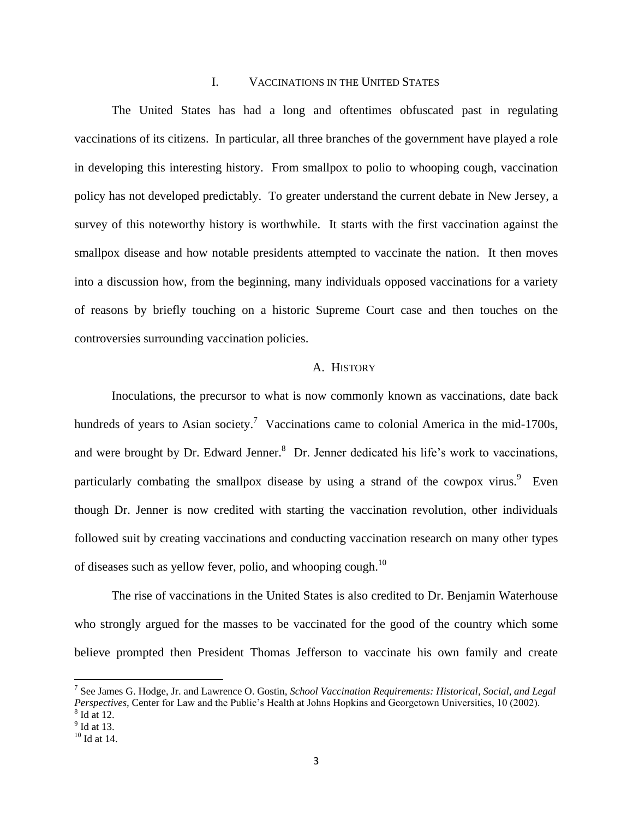#### I. VACCINATIONS IN THE UNITED STATES

The United States has had a long and oftentimes obfuscated past in regulating vaccinations of its citizens. In particular, all three branches of the government have played a role in developing this interesting history. From smallpox to polio to whooping cough, vaccination policy has not developed predictably. To greater understand the current debate in New Jersey, a survey of this noteworthy history is worthwhile. It starts with the first vaccination against the smallpox disease and how notable presidents attempted to vaccinate the nation. It then moves into a discussion how, from the beginning, many individuals opposed vaccinations for a variety of reasons by briefly touching on a historic Supreme Court case and then touches on the controversies surrounding vaccination policies.

#### A. HISTORY

Inoculations, the precursor to what is now commonly known as vaccinations, date back hundreds of years to Asian society.<sup>7</sup> Vaccinations came to colonial America in the mid-1700s, and were brought by Dr. Edward Jenner. $8$  Dr. Jenner dedicated his life's work to vaccinations, particularly combating the smallpox disease by using a strand of the cowpox virus. $9$  Even though Dr. Jenner is now credited with starting the vaccination revolution, other individuals followed suit by creating vaccinations and conducting vaccination research on many other types of diseases such as yellow fever, polio, and whooping cough.<sup>10</sup>

The rise of vaccinations in the United States is also credited to Dr. Benjamin Waterhouse who strongly argued for the masses to be vaccinated for the good of the country which some believe prompted then President Thomas Jefferson to vaccinate his own family and create

<sup>7</sup> See James G. Hodge, Jr. and Lawrence O. Gostin, *School Vaccination Requirements: Historical, Social, and Legal Perspectives,* Center for Law and the Public's Health at Johns Hopkins and Georgetown Universities, 10 (2002).  $8$  Id at 12.

<sup>&</sup>lt;sup>9</sup> Id at 13.

 $10$  Id at 14.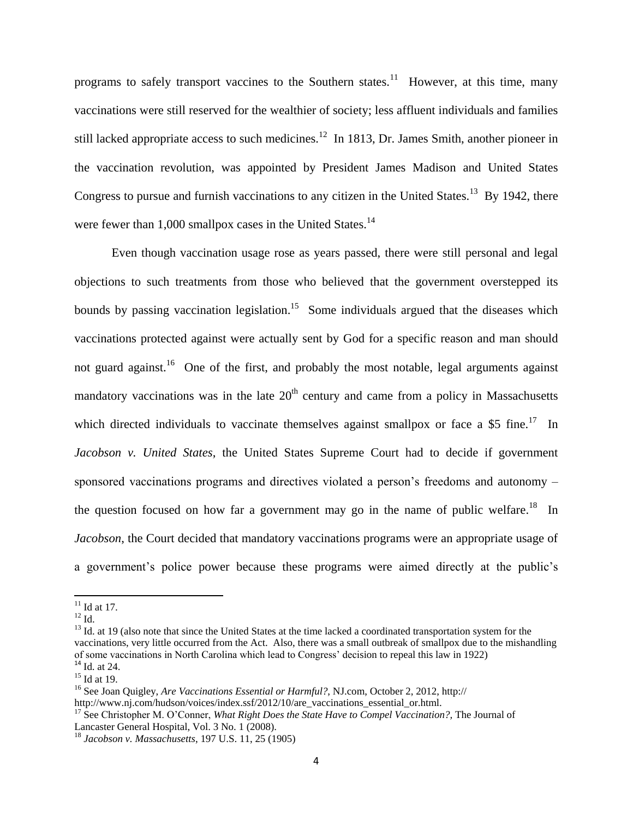programs to safely transport vaccines to the Southern states.<sup>11</sup> However, at this time, many vaccinations were still reserved for the wealthier of society; less affluent individuals and families still lacked appropriate access to such medicines.<sup>12</sup> In 1813, Dr. James Smith, another pioneer in the vaccination revolution, was appointed by President James Madison and United States Congress to pursue and furnish vaccinations to any citizen in the United States.<sup>13</sup> By 1942, there were fewer than  $1,000$  smallpox cases in the United States.<sup>14</sup>

Even though vaccination usage rose as years passed, there were still personal and legal objections to such treatments from those who believed that the government overstepped its bounds by passing vaccination legislation.<sup>15</sup> Some individuals argued that the diseases which vaccinations protected against were actually sent by God for a specific reason and man should not guard against.<sup>16</sup> One of the first, and probably the most notable, legal arguments against mandatory vaccinations was in the late  $20<sup>th</sup>$  century and came from a policy in Massachusetts which directed individuals to vaccinate themselves against smallpox or face a \$5 fine.<sup>17</sup> In *Jacobson v. United States*, the United States Supreme Court had to decide if government sponsored vaccinations programs and directives violated a person's freedoms and autonomy – the question focused on how far a government may go in the name of public welfare.<sup>18</sup> In *Jacobson*, the Court decided that mandatory vaccinations programs were an appropriate usage of a government's police power because these programs were aimed directly at the public's

 $11$  Id at 17.

 $^{12}$  Id.

<sup>&</sup>lt;sup>13</sup> Id. at 19 (also note that since the United States at the time lacked a coordinated transportation system for the vaccinations, very little occurred from the Act. Also, there was a small outbreak of smallpox due to the mishandling of some vaccinations in North Carolina which lead to Congress' decision to repeal this law in 1922) <sup>14</sup> Id. at 24.

 $15$  Id at 19.

<sup>16</sup> See Joan Quigley, *Are Vaccinations Essential or Harmful?*, NJ.com, October 2, 2012, http:// http://www.nj.com/hudson/voices/index.ssf/2012/10/are\_vaccinations\_essential\_or.html.

<sup>&</sup>lt;sup>17</sup> See Christopher M. O'Conner, *What Right Does the State Have to Compel Vaccination?*, The Journal of Lancaster General Hospital, Vol. 3 No. 1 (2008).

<sup>18</sup> *Jacobson v. Massachusetts*, 197 U.S. 11, 25 (1905)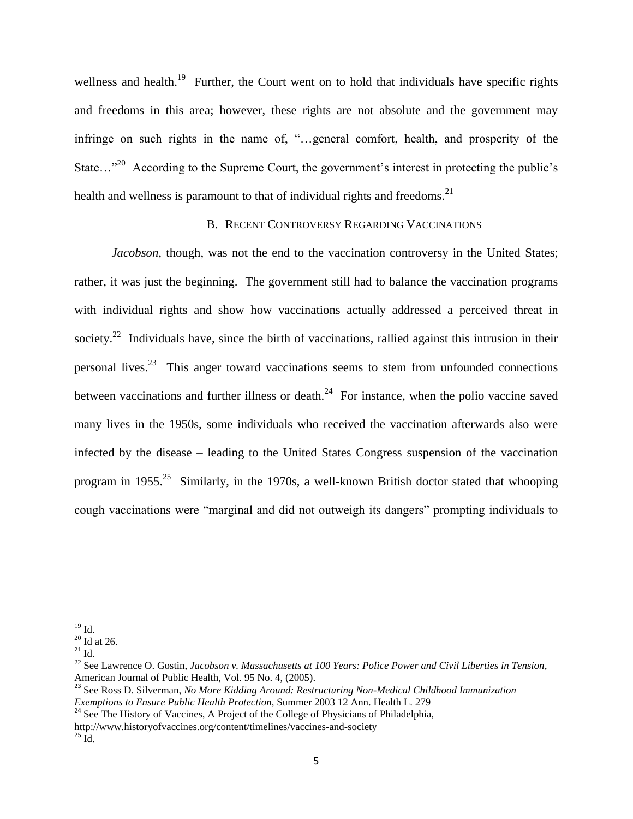wellness and health.<sup>19</sup> Further, the Court went on to hold that individuals have specific rights and freedoms in this area; however, these rights are not absolute and the government may infringe on such rights in the name of, "…general comfort, health, and prosperity of the State..."<sup>20</sup> According to the Supreme Court, the government's interest in protecting the public's health and wellness is paramount to that of individual rights and freedoms.<sup>21</sup>

#### B. RECENT CONTROVERSY REGARDING VACCINATIONS

*Jacobson*, though, was not the end to the vaccination controversy in the United States; rather, it was just the beginning. The government still had to balance the vaccination programs with individual rights and show how vaccinations actually addressed a perceived threat in society.<sup>22</sup> Individuals have, since the birth of vaccinations, rallied against this intrusion in their personal lives.<sup>23</sup> This anger toward vaccinations seems to stem from unfounded connections between vaccinations and further illness or death.<sup>24</sup> For instance, when the polio vaccine saved many lives in the 1950s, some individuals who received the vaccination afterwards also were infected by the disease – leading to the United States Congress suspension of the vaccination program in 1955.<sup>25</sup> Similarly, in the 1970s, a well-known British doctor stated that whooping cough vaccinations were "marginal and did not outweigh its dangers" prompting individuals to

 $\overline{a}$  $^{19}$  Id.

 $20$  Id at 26.

 $21$  Id.

<sup>22</sup> See Lawrence O. Gostin, *Jacobson v. Massachusetts at 100 Years: Police Power and Civil Liberties in Tension*, American Journal of Public Health, Vol. 95 No. 4, (2005).

<sup>23</sup> See Ross D. Silverman, *No More Kidding Around: Restructuring Non-Medical Childhood Immunization Exemptions to Ensure Public Health Protection,* Summer 2003 12 Ann. Health L. 279

<sup>&</sup>lt;sup>24</sup> See The History of Vaccines, A Project of the College of Physicians of Philadelphia,

http://www.historyofvaccines.org/content/timelines/vaccines-and-society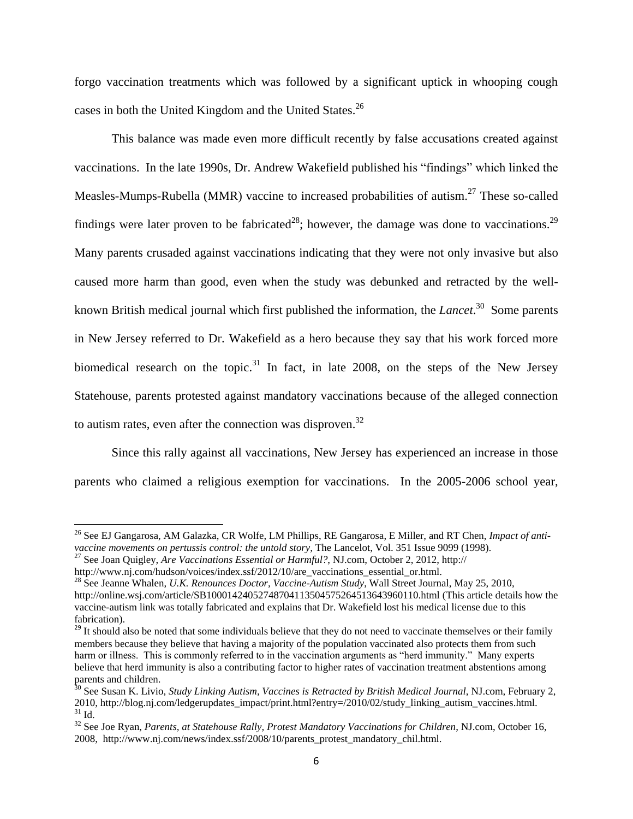forgo vaccination treatments which was followed by a significant uptick in whooping cough cases in both the United Kingdom and the United States.<sup>26</sup>

This balance was made even more difficult recently by false accusations created against vaccinations. In the late 1990s, Dr. Andrew Wakefield published his "findings" which linked the Measles-Mumps-Rubella (MMR) vaccine to increased probabilities of autism.<sup>27</sup> These so-called findings were later proven to be fabricated<sup>28</sup>; however, the damage was done to vaccinations.<sup>29</sup> Many parents crusaded against vaccinations indicating that they were not only invasive but also caused more harm than good, even when the study was debunked and retracted by the wellknown British medical journal which first published the information, the *Lancet*.<sup>30</sup> Some parents in New Jersey referred to Dr. Wakefield as a hero because they say that his work forced more biomedical research on the topic.<sup>31</sup> In fact, in late 2008, on the steps of the New Jersey Statehouse, parents protested against mandatory vaccinations because of the alleged connection to autism rates, even after the connection was disproven.<sup>32</sup>

Since this rally against all vaccinations, New Jersey has experienced an increase in those parents who claimed a religious exemption for vaccinations. In the 2005-2006 school year,

<sup>26</sup> See EJ Gangarosa, AM Galazka, CR Wolfe, LM Phillips, RE Gangarosa, E Miller, and RT Chen, *Impact of antivaccine movements on pertussis control: the untold story,* The Lancelot, Vol. 351 Issue 9099 (1998). <sup>27</sup> See Joan Quigley, *Are Vaccinations Essential or Harmful?*, NJ.com, October 2, 2012, http://

http://www.nj.com/hudson/voices/index.ssf/2012/10/are\_vaccinations\_essential\_or.html.

<sup>28</sup> See Jeanne Whalen, *U.K. Renounces Doctor, Vaccine-Autism Study*, Wall Street Journal, May 25, 2010, http://online.wsj.com/article/SB10001424052748704113504575264513643960110.html (This article details how the vaccine-autism link was totally fabricated and explains that Dr. Wakefield lost his medical license due to this fabrication).

 $29$  It should also be noted that some individuals believe that they do not need to vaccinate themselves or their family members because they believe that having a majority of the population vaccinated also protects them from such harm or illness. This is commonly referred to in the vaccination arguments as "herd immunity." Many experts believe that herd immunity is also a contributing factor to higher rates of vaccination treatment abstentions among parents and children.

<sup>30</sup> See Susan K. Livio, *Study Linking Autism, Vaccines is Retracted by British Medical Journal*, NJ.com, February 2, 2010, http://blog.nj.com/ledgerupdates\_impact/print.html?entry=/2010/02/study\_linking\_autism\_vaccines.html.  $31$  Id.

<sup>32</sup> See Joe Ryan, *Parents, at Statehouse Rally, Protest Mandatory Vaccinations for Children*, NJ.com, October 16, 2008, http://www.nj.com/news/index.ssf/2008/10/parents\_protest\_mandatory\_chil.html.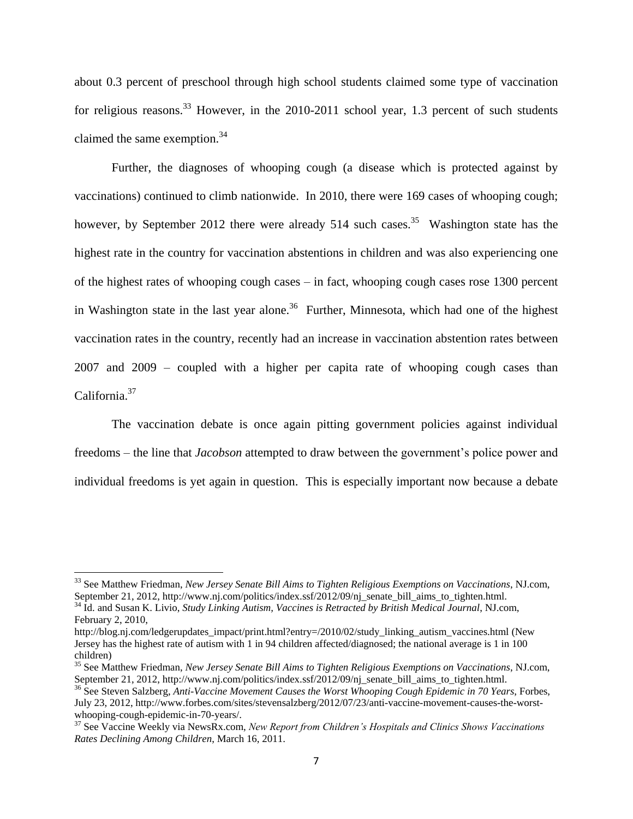about 0.3 percent of preschool through high school students claimed some type of vaccination for religious reasons.<sup>33</sup> However, in the  $2010-2011$  school year, 1.3 percent of such students claimed the same exemption. $34$ 

Further, the diagnoses of whooping cough (a disease which is protected against by vaccinations) continued to climb nationwide. In 2010, there were 169 cases of whooping cough; however, by September 2012 there were already 514 such cases.<sup>35</sup> Washington state has the highest rate in the country for vaccination abstentions in children and was also experiencing one of the highest rates of whooping cough cases – in fact, whooping cough cases rose 1300 percent in Washington state in the last year alone.<sup>36</sup> Further, Minnesota, which had one of the highest vaccination rates in the country, recently had an increase in vaccination abstention rates between 2007 and 2009 – coupled with a higher per capita rate of whooping cough cases than California.<sup>37</sup>

The vaccination debate is once again pitting government policies against individual freedoms – the line that *Jacobson* attempted to draw between the government's police power and individual freedoms is yet again in question. This is especially important now because a debate

<sup>33</sup> See Matthew Friedman, *New Jersey Senate Bill Aims to Tighten Religious Exemptions on Vaccinations*, NJ.com, September 21, 2012, http://www.nj.com/politics/index.ssf/2012/09/nj\_senate\_bill\_aims\_to\_tighten.html.

<sup>34</sup> Id. and Susan K. Livio, *Study Linking Autism, Vaccines is Retracted by British Medical Journal*, NJ.com, February 2, 2010,

http://blog.nj.com/ledgerupdates\_impact/print.html?entry=/2010/02/study\_linking\_autism\_vaccines.html (New Jersey has the highest rate of autism with 1 in 94 children affected/diagnosed; the national average is 1 in 100 children)

<sup>35</sup> See Matthew Friedman, *New Jersey Senate Bill Aims to Tighten Religious Exemptions on Vaccinations*, NJ.com, September 21, 2012, http://www.nj.com/politics/index.ssf/2012/09/nj\_senate\_bill\_aims\_to\_tighten.html.

<sup>36</sup> See Steven Salzberg, *Anti-Vaccine Movement Causes the Worst Whooping Cough Epidemic in 70 Years*, Forbes, July 23, 2012, http://www.forbes.com/sites/stevensalzberg/2012/07/23/anti-vaccine-movement-causes-the-worstwhooping-cough-epidemic-in-70-years/.

<sup>37</sup> See Vaccine Weekly via NewsRx.com, *New Report from Children's Hospitals and Clinics Shows Vaccinations Rates Declining Among Children*, March 16, 2011.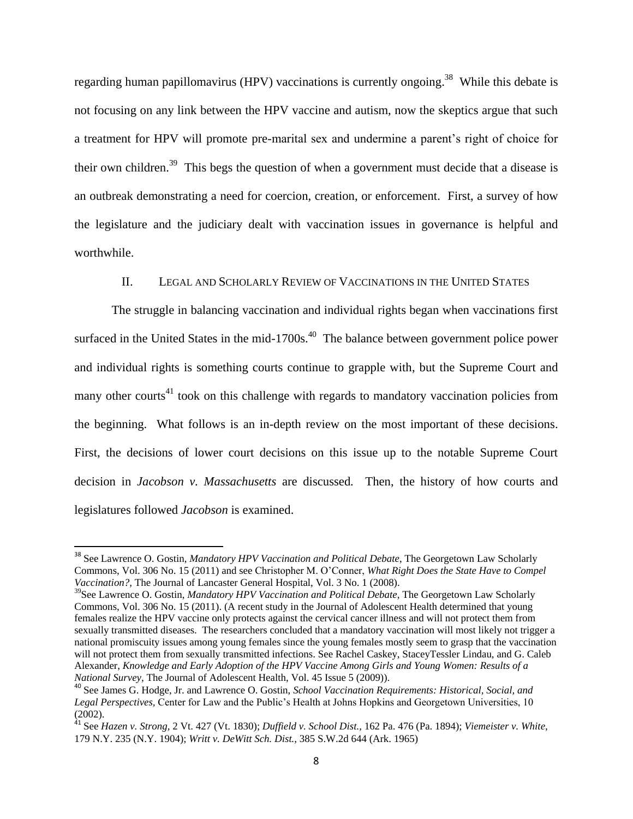regarding human papillomavirus (HPV) vaccinations is currently ongoing.<sup>38</sup> While this debate is not focusing on any link between the HPV vaccine and autism, now the skeptics argue that such a treatment for HPV will promote pre-marital sex and undermine a parent's right of choice for their own children.<sup>39</sup> This begs the question of when a government must decide that a disease is an outbreak demonstrating a need for coercion, creation, or enforcement. First, a survey of how the legislature and the judiciary dealt with vaccination issues in governance is helpful and worthwhile.

# II. LEGAL AND SCHOLARLY REVIEW OF VACCINATIONS IN THE UNITED STATES

The struggle in balancing vaccination and individual rights began when vaccinations first surfaced in the United States in the mid- $1700s$ .<sup>40</sup> The balance between government police power and individual rights is something courts continue to grapple with, but the Supreme Court and many other courts<sup>41</sup> took on this challenge with regards to mandatory vaccination policies from the beginning. What follows is an in-depth review on the most important of these decisions. First, the decisions of lower court decisions on this issue up to the notable Supreme Court decision in *Jacobson v. Massachusetts* are discussed*.* Then, the history of how courts and legislatures followed *Jacobson* is examined.

<sup>38</sup> See Lawrence O. Gostin, *Mandatory HPV Vaccination and Political Debate*, The Georgetown Law Scholarly Commons, Vol. 306 No. 15 (2011) and see Christopher M. O'Conner, *What Right Does the State Have to Compel Vaccination?,* The Journal of Lancaster General Hospital, Vol. 3 No. 1 (2008).

<sup>39</sup>See Lawrence O. Gostin, *Mandatory HPV Vaccination and Political Debate*, The Georgetown Law Scholarly Commons, Vol. 306 No. 15 (2011). (A recent study in the Journal of Adolescent Health determined that young females realize the HPV vaccine only protects against the cervical cancer illness and will not protect them from sexually transmitted diseases. The researchers concluded that a mandatory vaccination will most likely not trigger a national promiscuity issues among young females since the young females mostly seem to grasp that the vaccination will not protect them from sexually transmitted infections. See Rachel Caskey, StaceyTessler Lindau, and G. Caleb Alexander, *Knowledge and Early Adoption of the HPV Vaccine Among Girls and Young Women: Results of a National Survey*, The Journal of Adolescent Health, Vol. 45 Issue 5 (2009)).

<sup>40</sup> See James G. Hodge, Jr. and Lawrence O. Gostin, *School Vaccination Requirements: Historical, Social, and Legal Perspectives,* Center for Law and the Public's Health at Johns Hopkins and Georgetown Universities, 10 (2002).

<sup>41</sup> See *Hazen v. Strong,* 2 Vt. 427 (Vt. 1830); *Duffield v. School Dist.,* 162 Pa. 476 (Pa. 1894); *Viemeister v. White*, 179 N.Y. 235 (N.Y. 1904); *Writt v. DeWitt Sch. Dist.*, 385 S.W.2d 644 (Ark. 1965)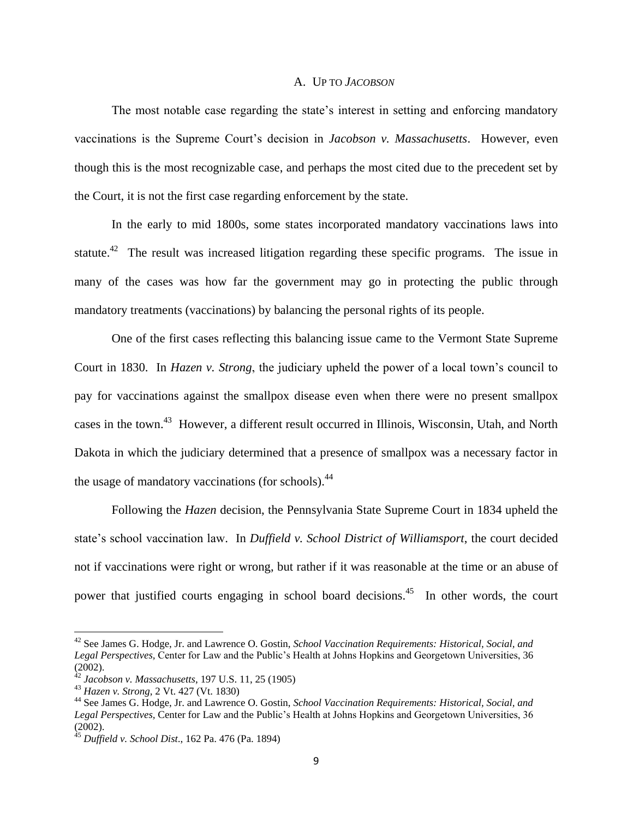#### A. UP TO *JACOBSON*

The most notable case regarding the state's interest in setting and enforcing mandatory vaccinations is the Supreme Court's decision in *Jacobson v. Massachusetts*. However, even though this is the most recognizable case, and perhaps the most cited due to the precedent set by the Court, it is not the first case regarding enforcement by the state.

In the early to mid 1800s, some states incorporated mandatory vaccinations laws into statute.<sup>42</sup> The result was increased litigation regarding these specific programs. The issue in many of the cases was how far the government may go in protecting the public through mandatory treatments (vaccinations) by balancing the personal rights of its people.

One of the first cases reflecting this balancing issue came to the Vermont State Supreme Court in 1830. In *Hazen v. Strong*, the judiciary upheld the power of a local town's council to pay for vaccinations against the smallpox disease even when there were no present smallpox cases in the town.<sup>43</sup> However, a different result occurred in Illinois, Wisconsin, Utah, and North Dakota in which the judiciary determined that a presence of smallpox was a necessary factor in the usage of mandatory vaccinations (for schools).<sup>44</sup>

Following the *Hazen* decision, the Pennsylvania State Supreme Court in 1834 upheld the state's school vaccination law. In *Duffield v. School District of Williamsport*, the court decided not if vaccinations were right or wrong, but rather if it was reasonable at the time or an abuse of power that justified courts engaging in school board decisions.<sup>45</sup> In other words, the court

<sup>42</sup> See James G. Hodge, Jr. and Lawrence O. Gostin, *School Vaccination Requirements: Historical, Social, and Legal Perspectives,* Center for Law and the Public's Health at Johns Hopkins and Georgetown Universities, 36 (2002).

<sup>42</sup> *Jacobson v. Massachusetts*, 197 U.S. 11, 25 (1905)

<sup>43</sup> *Hazen v. Strong*, 2 Vt. 427 (Vt. 1830)

<sup>44</sup> See James G. Hodge, Jr. and Lawrence O. Gostin, *School Vaccination Requirements: Historical, Social, and Legal Perspectives,* Center for Law and the Public's Health at Johns Hopkins and Georgetown Universities, 36 (2002).

<sup>45</sup> *Duffield v. School Dist*., 162 Pa. 476 (Pa. 1894)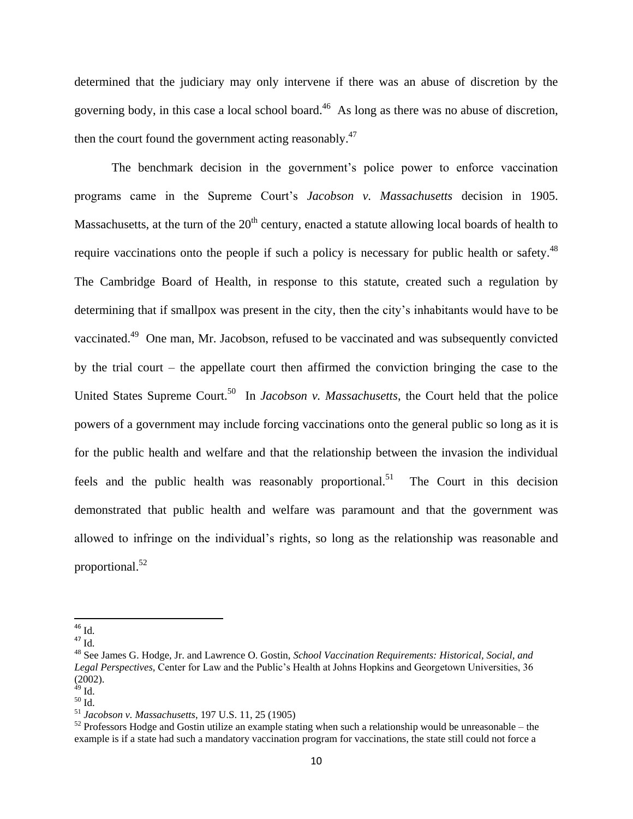determined that the judiciary may only intervene if there was an abuse of discretion by the governing body, in this case a local school board.<sup>46</sup> As long as there was no abuse of discretion, then the court found the government acting reasonably. $47$ 

The benchmark decision in the government's police power to enforce vaccination programs came in the Supreme Court's *Jacobson v. Massachusetts* decision in 1905. Massachusetts, at the turn of the  $20<sup>th</sup>$  century, enacted a statute allowing local boards of health to require vaccinations onto the people if such a policy is necessary for public health or safety.<sup>48</sup> The Cambridge Board of Health, in response to this statute, created such a regulation by determining that if smallpox was present in the city, then the city's inhabitants would have to be vaccinated.<sup>49</sup> One man, Mr. Jacobson, refused to be vaccinated and was subsequently convicted by the trial court – the appellate court then affirmed the conviction bringing the case to the United States Supreme Court.<sup>50</sup> In *Jacobson v. Massachusetts*, the Court held that the police powers of a government may include forcing vaccinations onto the general public so long as it is for the public health and welfare and that the relationship between the invasion the individual feels and the public health was reasonably proportional.<sup>51</sup> The Court in this decision demonstrated that public health and welfare was paramount and that the government was allowed to infringe on the individual's rights, so long as the relationship was reasonable and proportional. 52

 $\overline{a}$  $^{46}$  Id.

 $47$  Id.

<sup>48</sup> See James G. Hodge, Jr. and Lawrence O. Gostin, *School Vaccination Requirements: Historical, Social, and Legal Perspectives,* Center for Law and the Public's Health at Johns Hopkins and Georgetown Universities, 36 (2002).

 $49$  Id.

 $^{50}$  Id.

<sup>51</sup> *Jacobson v. Massachusetts*, 197 U.S. 11, 25 (1905)

 $52$  Professors Hodge and Gostin utilize an example stating when such a relationship would be unreasonable – the example is if a state had such a mandatory vaccination program for vaccinations, the state still could not force a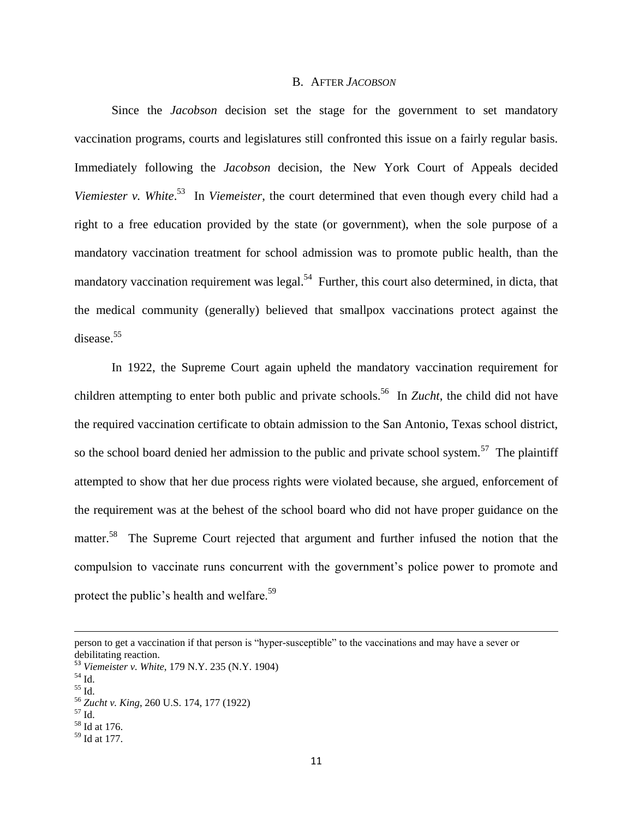#### B. AFTER *JACOBSON*

Since the *Jacobson* decision set the stage for the government to set mandatory vaccination programs, courts and legislatures still confronted this issue on a fairly regular basis. Immediately following the *Jacobson* decision, the New York Court of Appeals decided Viemiester v. White.<sup>53</sup> In Viemeister, the court determined that even though every child had a right to a free education provided by the state (or government), when the sole purpose of a mandatory vaccination treatment for school admission was to promote public health, than the mandatory vaccination requirement was legal.<sup>54</sup> Further, this court also determined, in dicta, that the medical community (generally) believed that smallpox vaccinations protect against the disease.<sup>55</sup>

In 1922, the Supreme Court again upheld the mandatory vaccination requirement for children attempting to enter both public and private schools.<sup>56</sup> In *Zucht*, the child did not have the required vaccination certificate to obtain admission to the San Antonio, Texas school district, so the school board denied her admission to the public and private school system.<sup>57</sup> The plaintiff attempted to show that her due process rights were violated because, she argued, enforcement of the requirement was at the behest of the school board who did not have proper guidance on the matter.<sup>58</sup> The Supreme Court rejected that argument and further infused the notion that the compulsion to vaccinate runs concurrent with the government's police power to promote and protect the public's health and welfare.<sup>59</sup>

person to get a vaccination if that person is "hyper-susceptible" to the vaccinations and may have a sever or debilitating reaction.

<sup>53</sup> *Viemeister v. White*, 179 N.Y. 235 (N.Y. 1904)

<sup>54</sup> Id.

 $^{55}$  Id.  $\,$ 

<sup>56</sup> *Zucht v. King*, 260 U.S. 174, 177 (1922)

<sup>57</sup> Id.

<sup>58</sup> Id at 176.

<sup>59</sup> Id at 177.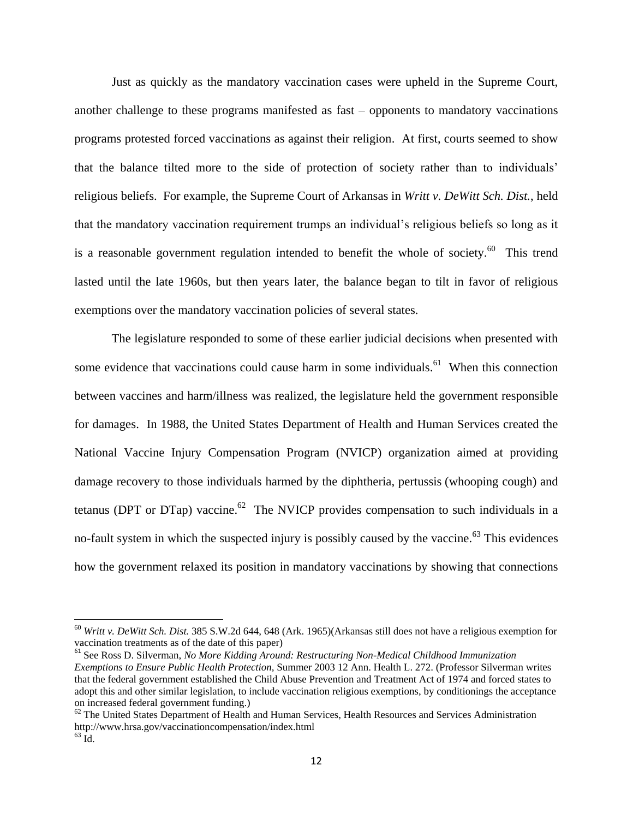Just as quickly as the mandatory vaccination cases were upheld in the Supreme Court, another challenge to these programs manifested as fast – opponents to mandatory vaccinations programs protested forced vaccinations as against their religion. At first, courts seemed to show that the balance tilted more to the side of protection of society rather than to individuals' religious beliefs. For example, the Supreme Court of Arkansas in *Writt v. DeWitt Sch. Dist.*, held that the mandatory vaccination requirement trumps an individual's religious beliefs so long as it is a reasonable government regulation intended to benefit the whole of society. $^{60}$  This trend lasted until the late 1960s, but then years later, the balance began to tilt in favor of religious exemptions over the mandatory vaccination policies of several states.

The legislature responded to some of these earlier judicial decisions when presented with some evidence that vaccinations could cause harm in some individuals.<sup>61</sup> When this connection between vaccines and harm/illness was realized, the legislature held the government responsible for damages. In 1988, the United States Department of Health and Human Services created the National Vaccine Injury Compensation Program (NVICP) organization aimed at providing damage recovery to those individuals harmed by the [diphtheria,](http://en.wikipedia.org/wiki/Diphtheria) [pertussis](http://en.wikipedia.org/wiki/Pertussis) (whooping cough) and [tetanus](http://en.wikipedia.org/wiki/Tetanus) (DPT or DTap) vaccine.<sup>62</sup> The NVICP provides compensation to such individuals in a no-fault system in which the suspected injury is possibly caused by the vaccine.<sup>63</sup> This evidences how the government relaxed its position in mandatory vaccinations by showing that connections

<sup>60</sup> *Writt v. DeWitt Sch. Dist.* 385 S.W.2d 644, 648 (Ark. 1965)(Arkansas still does not have a religious exemption for vaccination treatments as of the date of this paper)

<sup>61</sup> See Ross D. Silverman, *No More Kidding Around: Restructuring Non-Medical Childhood Immunization Exemptions to Ensure Public Health Protection,* Summer 2003 12 Ann. Health L. 272. (Professor Silverman writes that the federal government established the Child Abuse Prevention and Treatment Act of 1974 and forced states to adopt this and other similar legislation, to include vaccination religious exemptions, by conditionings the acceptance on increased federal government funding.)

 $62$  The United States Department of Health and Human Services, Health Resources and Services Administration http://www.hrsa.gov/vaccinationcompensation/index.html  $63 \text{ Id.}$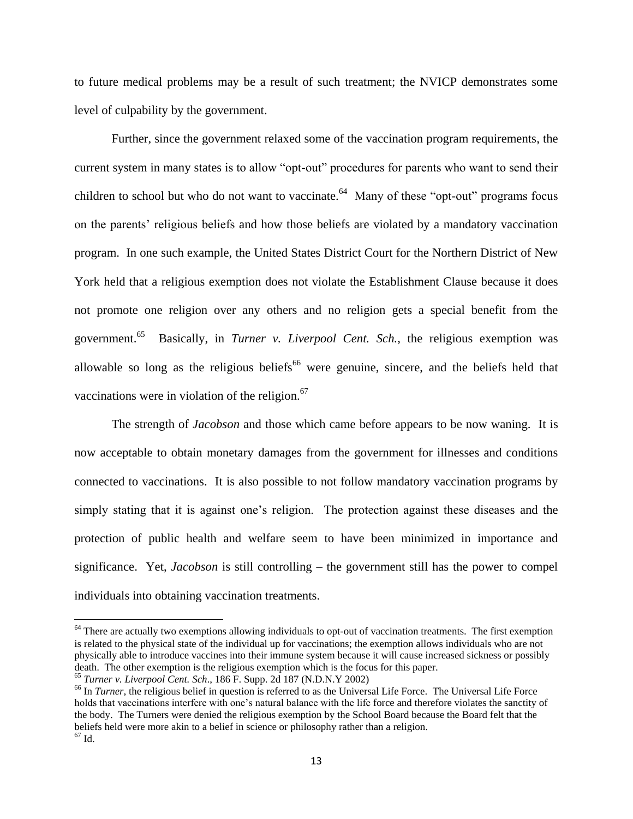to future medical problems may be a result of such treatment; the NVICP demonstrates some level of culpability by the government.

Further, since the government relaxed some of the vaccination program requirements, the current system in many states is to allow "opt-out" procedures for parents who want to send their children to school but who do not want to vaccinate.<sup>64</sup> Many of these "opt-out" programs focus on the parents' religious beliefs and how those beliefs are violated by a mandatory vaccination program. In one such example, the United States District Court for the Northern District of New York held that a religious exemption does not violate the Establishment Clause because it does not promote one religion over any others and no religion gets a special benefit from the government.<sup>65</sup> Basically, in *Turner v. Liverpool Cent. Sch.*, the religious exemption was allowable so long as the religious beliefs<sup>66</sup> were genuine, sincere, and the beliefs held that vaccinations were in violation of the religion. $67$ 

The strength of *Jacobson* and those which came before appears to be now waning. It is now acceptable to obtain monetary damages from the government for illnesses and conditions connected to vaccinations. It is also possible to not follow mandatory vaccination programs by simply stating that it is against one's religion. The protection against these diseases and the protection of public health and welfare seem to have been minimized in importance and significance. Yet, *Jacobson* is still controlling – the government still has the power to compel individuals into obtaining vaccination treatments.

<sup>&</sup>lt;sup>64</sup> There are actually two exemptions allowing individuals to opt-out of vaccination treatments. The first exemption is related to the physical state of the individual up for vaccinations; the exemption allows individuals who are not physically able to introduce vaccines into their immune system because it will cause increased sickness or possibly death. The other exemption is the religious exemption which is the focus for this paper. <sup>65</sup> *Turner v. Liverpool Cent. Sch*., 186 F. Supp. 2d 187 (N.D.N.Y 2002)

<sup>&</sup>lt;sup>66</sup> In *Turner*, the religious belief in question is referred to as the Universal Life Force. The Universal Life Force holds that vaccinations interfere with one's natural balance with the life force and therefore violates the sanctity of the body. The Turners were denied the religious exemption by the School Board because the Board felt that the beliefs held were more akin to a belief in science or philosophy rather than a religion.  $67$  Id.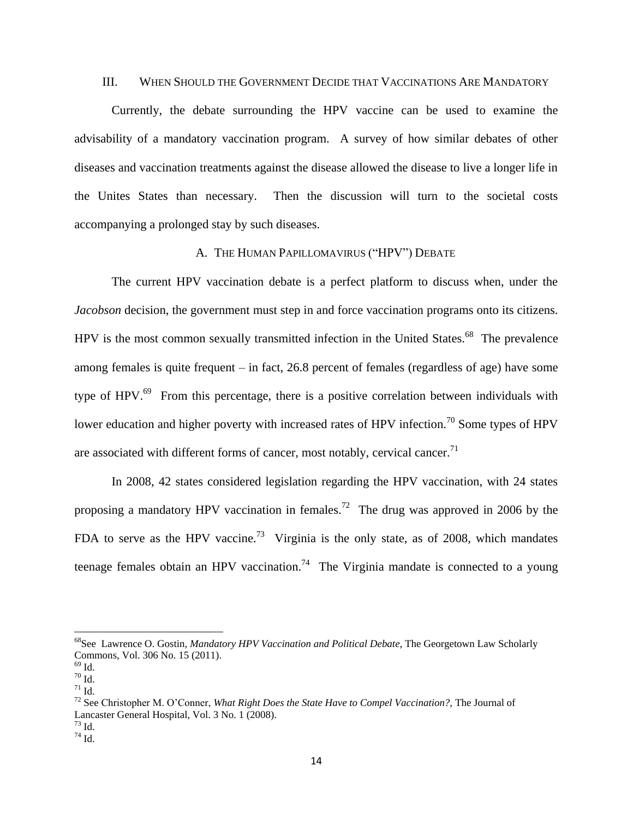#### III. WHEN SHOULD THE GOVERNMENT DECIDE THAT VACCINATIONS ARE MANDATORY

Currently, the debate surrounding the HPV vaccine can be used to examine the advisability of a mandatory vaccination program. A survey of how similar debates of other diseases and vaccination treatments against the disease allowed the disease to live a longer life in the Unites States than necessary. Then the discussion will turn to the societal costs accompanying a prolonged stay by such diseases.

# A. THE HUMAN PAPILLOMAVIRUS ("HPV") DEBATE

The current HPV vaccination debate is a perfect platform to discuss when, under the *Jacobson* decision, the government must step in and force vaccination programs onto its citizens. HPV is the most common sexually transmitted infection in the United States.<sup>68</sup> The prevalence among females is quite frequent – in fact, 26.8 percent of females (regardless of age) have some type of HPV. $^{69}$  From this percentage, there is a positive correlation between individuals with lower education and higher poverty with increased rates of HPV infection.<sup>70</sup> Some types of HPV are associated with different forms of cancer, most notably, cervical cancer.<sup>71</sup>

In 2008, 42 states considered legislation regarding the HPV vaccination, with 24 states proposing a mandatory HPV vaccination in females.<sup>72</sup> The drug was approved in 2006 by the FDA to serve as the HPV vaccine.<sup>73</sup> Virginia is the only state, as of 2008, which mandates teenage females obtain an HPV vaccination.<sup>74</sup> The Virginia mandate is connected to a young

<sup>68</sup>See Lawrence O. Gostin, *Mandatory HPV Vaccination and Political Debate*, The Georgetown Law Scholarly Commons, Vol. 306 No. 15 (2011).

 $69$  Id.

 $70 \text{ Id.}$ 

 $71$  Id.

<sup>72</sup> See Christopher M. O'Conner, *What Right Does the State Have to Compel Vaccination?,* The Journal of Lancaster General Hospital, Vol. 3 No. 1 (2008).

<sup>73</sup> Id.

 $^{74}$  Id.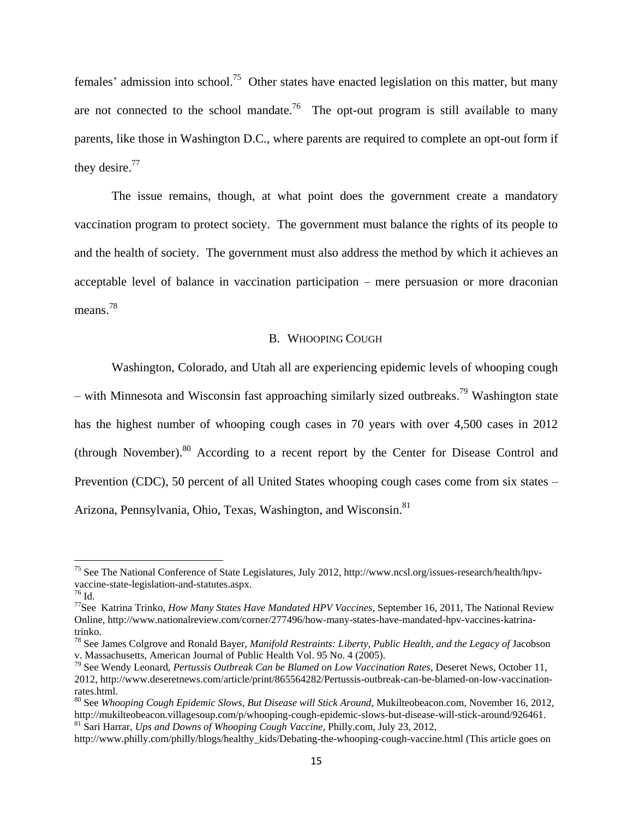females' admission into school.<sup>75</sup> Other states have enacted legislation on this matter, but many are not connected to the school mandate.<sup>76</sup> The opt-out program is still available to many parents, like those in Washington D.C., where parents are required to complete an opt-out form if they desire.<sup>77</sup>

The issue remains, though, at what point does the government create a mandatory vaccination program to protect society. The government must balance the rights of its people to and the health of society. The government must also address the method by which it achieves an acceptable level of balance in vaccination participation – mere persuasion or more draconian means. 78

#### B. WHOOPING COUGH

Washington, Colorado, and Utah all are experiencing epidemic levels of whooping cough – with Minnesota and Wisconsin fast approaching similarly sized outbreaks.<sup>79</sup> Washington state has the highest number of whooping cough cases in 70 years with over 4,500 cases in 2012 (through November).<sup>80</sup> According to a recent report by the Center for Disease Control and Prevention (CDC), 50 percent of all United States whooping cough cases come from six states – Arizona, Pennsylvania, Ohio, Texas, Washington, and Wisconsin.<sup>81</sup>

<sup>&</sup>lt;sup>75</sup> See The National Conference of State Legislatures, July 2012, http://www.ncsl.org/issues-research/health/hpvvaccine-state-legislation-and-statutes.aspx.

 $^{76}$  Id.

<sup>77</sup>See Katrina Trinko, *How Many States Have Mandated HPV Vaccines*, September 16, 2011, The National Review Online, http://www.nationalreview.com/corner/277496/how-many-states-have-mandated-hpv-vaccines-katrinatrinko.

<sup>78</sup> See James Colgrove and Ronald Bayer, *Manifold Restraints: Liberty, Public Health, and the Legacy of* Jacobson v. Massachusetts, American Journal of Public Health Vol. 95 No. 4 (2005).

<sup>79</sup> See Wendy Leonard, *Pertussis Outbreak Can be Blamed on Low Vaccination Rates*, Deseret News, October 11, 2012, http://www.deseretnews.com/article/print/865564282/Pertussis-outbreak-can-be-blamed-on-low-vaccinationrates.html.

<sup>80</sup> See *Whooping Cough Epidemic Slows, But Disease will Stick Around,* Mukilteobeacon.com, November 16, 2012, http://mukilteobeacon.villagesoup.com/p/whooping-cough-epidemic-slows-but-disease-will-stick-around/926461. <sup>81</sup> Sari Harrar, *Ups and Downs of Whooping Cough Vaccine*, Philly.com, July 23, 2012,

http://www.philly.com/philly/blogs/healthy\_kids/Debating-the-whooping-cough-vaccine.html (This article goes on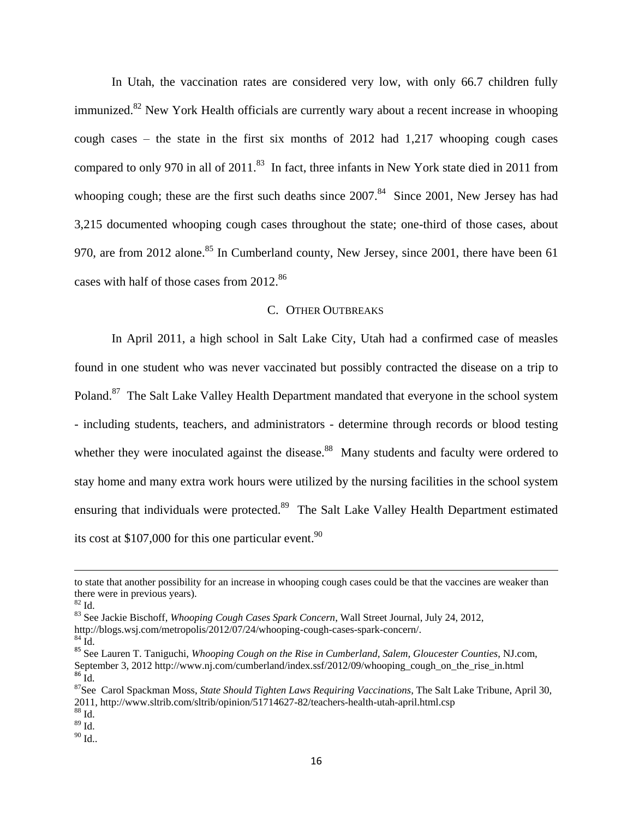In Utah, the vaccination rates are considered very low, with only 66.7 children fully immunized.<sup>82</sup> New York Health officials are currently wary about a recent increase in whooping cough cases – the state in the first six months of 2012 had 1,217 whooping cough cases compared to only 970 in all of  $2011$ .<sup>83</sup> In fact, three infants in New York state died in 2011 from whooping cough; these are the first such deaths since  $2007$ .<sup>84</sup> Since 2001, New Jersey has had 3,215 documented whooping cough cases throughout the state; one-third of those cases, about 970, are from 2012 alone.<sup>85</sup> In Cumberland county, New Jersey, since 2001, there have been 61 cases with half of those cases from 2012.<sup>86</sup>

# C. OTHER OUTBREAKS

In April 2011, a high school in Salt Lake City, Utah had a confirmed case of measles found in one student who was never vaccinated but possibly contracted the disease on a trip to Poland.<sup>87</sup> The Salt Lake Valley Health Department mandated that everyone in the school system - including students, teachers, and administrators - determine through records or blood testing whether they were inoculated against the disease.<sup>88</sup> Many students and faculty were ordered to stay home and many extra work hours were utilized by the nursing facilities in the school system ensuring that individuals were protected.<sup>89</sup> The Salt Lake Valley Health Department estimated its cost at \$107,000 for this one particular event.<sup>90</sup>

to state that another possibility for an increase in whooping cough cases could be that the vaccines are weaker than there were in previous years).

 $82$  Id.

<sup>83</sup> See Jackie Bischoff, *Whooping Cough Cases Spark Concern*, Wall Street Journal, July 24, 2012,

http://blogs.wsj.com/metropolis/2012/07/24/whooping-cough-cases-spark-concern/.

 $84 \text{ Id.}$ 

<sup>85</sup> See Lauren T. Taniguchi, *Whooping Cough on the Rise in Cumberland, Salem, Gloucester Counties*, NJ.com, September 3, 2012 http://www.nj.com/cumberland/index.ssf/2012/09/whooping\_cough\_on\_the\_rise\_in.html  $^{86}$  Id.

<sup>87</sup>See Carol Spackman Moss, *State Should Tighten Laws Requiring Vaccinations*, The Salt Lake Tribune, April 30, 2011, http://www.sltrib.com/sltrib/opinion/51714627-82/teachers-health-utah-april.html.csp

 $^{88}$  Id.  $\,$ 

 $89 \text{ Id.}$ 

 $^{90}$  Id..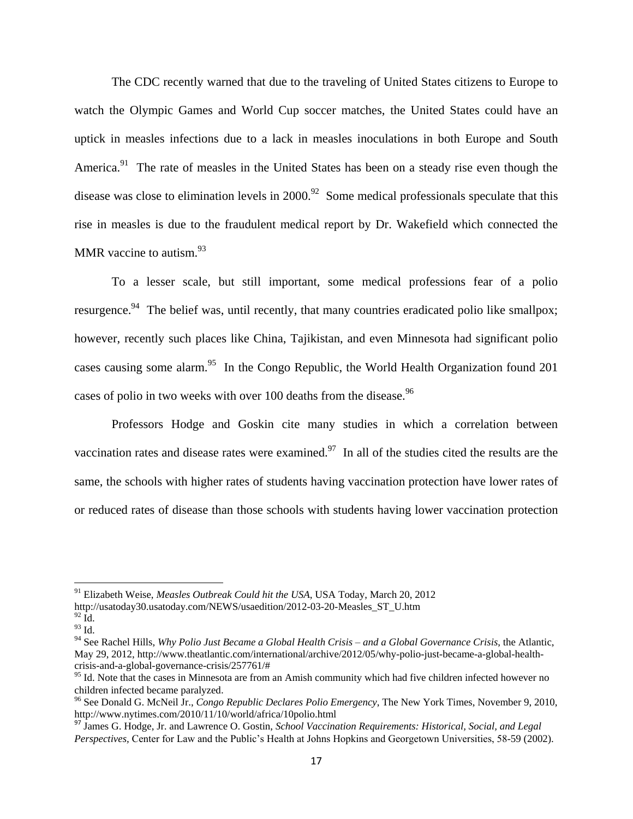The CDC recently warned that due to the traveling of United States citizens to Europe to watch the Olympic Games and World Cup soccer matches, the United States could have an uptick in measles infections due to a lack in measles inoculations in both Europe and South America.<sup>91</sup> The rate of measles in the United States has been on a steady rise even though the disease was close to elimination levels in  $2000$ .<sup>92</sup> Some medical professionals speculate that this rise in measles is due to the fraudulent medical report by Dr. Wakefield which connected the MMR vaccine to autism. $^{93}$ 

To a lesser scale, but still important, some medical professions fear of a polio resurgence.<sup>94</sup> The belief was, until recently, that many countries eradicated polio like smallpox; however, recently such places like China, Tajikistan, and even Minnesota had significant polio cases causing some alarm.<sup>95</sup> In the Congo Republic, the World Health Organization found 201 cases of polio in two weeks with over 100 deaths from the disease.<sup>96</sup>

Professors Hodge and Goskin cite many studies in which a correlation between vaccination rates and disease rates were examined.<sup>97</sup> In all of the studies cited the results are the same, the schools with higher rates of students having vaccination protection have lower rates of or reduced rates of disease than those schools with students having lower vaccination protection

<sup>91</sup> Elizabeth Weise, *Measles Outbreak Could hit the USA*, USA Today, March 20, 2012 http://usatoday30.usatoday.com/NEWS/usaedition/2012-03-20-Measles\_ST\_U.htm

 $92 \bar{Id}$ .  $93$  Id.

<sup>94</sup> See Rachel Hills, *Why Polio Just Became a Global Health Crisis – and a Global Governance Crisis*, the Atlantic, May 29, 2012, http://www.theatlantic.com/international/archive/2012/05/why-polio-just-became-a-global-healthcrisis-and-a-global-governance-crisis/257761/#

<sup>&</sup>lt;sup>95</sup> Id. Note that the cases in Minnesota are from an Amish community which had five children infected however no children infected became paralyzed.

<sup>96</sup> See Donald G. McNeil Jr., *Congo Republic Declares Polio Emergency*, The New York Times, November 9, 2010, http://www.nytimes.com/2010/11/10/world/africa/10polio.html

<sup>97</sup> James G. Hodge, Jr. and Lawrence O. Gostin, *School Vaccination Requirements: Historical, Social, and Legal Perspectives,* Center for Law and the Public's Health at Johns Hopkins and Georgetown Universities, 58-59 (2002).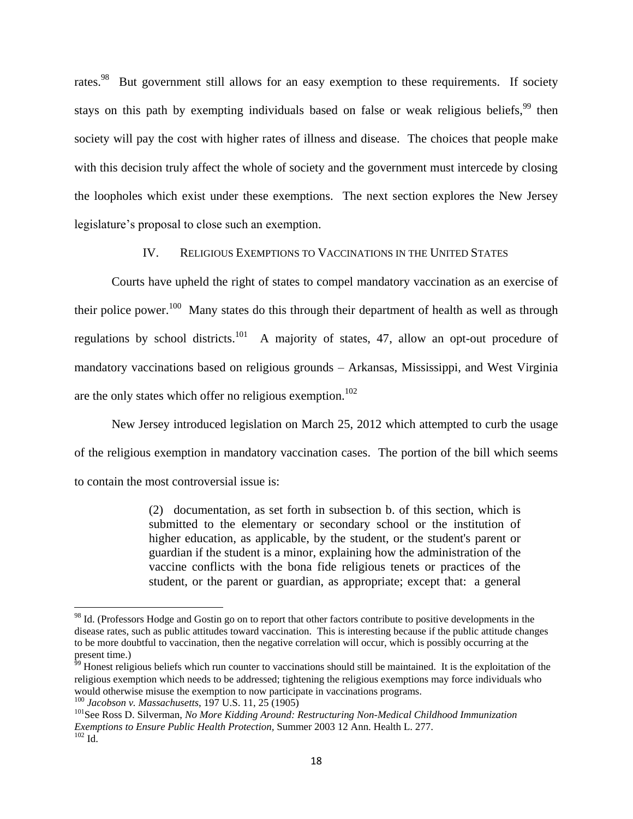rates.<sup>98</sup> But government still allows for an easy exemption to these requirements. If society stays on this path by exempting individuals based on false or weak religious beliefs,<sup>99</sup> then society will pay the cost with higher rates of illness and disease. The choices that people make with this decision truly affect the whole of society and the government must intercede by closing the loopholes which exist under these exemptions. The next section explores the New Jersey legislature's proposal to close such an exemption.

IV. RELIGIOUS EXEMPTIONS TO VACCINATIONS IN THE UNITED STATES

Courts have upheld the right of states to compel mandatory vaccination as an exercise of their police power.<sup>100</sup> Many states do this through their department of health as well as through regulations by school districts.<sup>101</sup> A majority of states, 47, allow an opt-out procedure of mandatory vaccinations based on religious grounds – Arkansas, Mississippi, and West Virginia are the only states which offer no religious exemption.<sup>102</sup>

New Jersey introduced legislation on March 25, 2012 which attempted to curb the usage of the religious exemption in mandatory vaccination cases. The portion of the bill which seems to contain the most controversial issue is:

> (2) documentation, as set forth in subsection b. of this section, which is submitted to the elementary or secondary school or the institution of higher education, as applicable, by the student, or the student's parent or guardian if the student is a minor, explaining how the administration of the vaccine conflicts with the bona fide religious tenets or practices of the student, or the parent or guardian, as appropriate; except that: a general

<sup>100</sup> *Jacobson v. Massachusetts*, 197 U.S. 11, 25 (1905)

l

<sup>&</sup>lt;sup>98</sup> Id. (Professors Hodge and Gostin go on to report that other factors contribute to positive developments in the disease rates, such as public attitudes toward vaccination. This is interesting because if the public attitude changes to be more doubtful to vaccination, then the negative correlation will occur, which is possibly occurring at the present time.)

<sup>&</sup>lt;sup>59</sup> Honest religious beliefs which run counter to vaccinations should still be maintained. It is the exploitation of the religious exemption which needs to be addressed; tightening the religious exemptions may force individuals who would otherwise misuse the exemption to now participate in vaccinations programs.

<sup>101</sup>See Ross D. Silverman, *No More Kidding Around: Restructuring Non-Medical Childhood Immunization Exemptions to Ensure Public Health Protection,* Summer 2003 12 Ann. Health L. 277.  $102$  Id.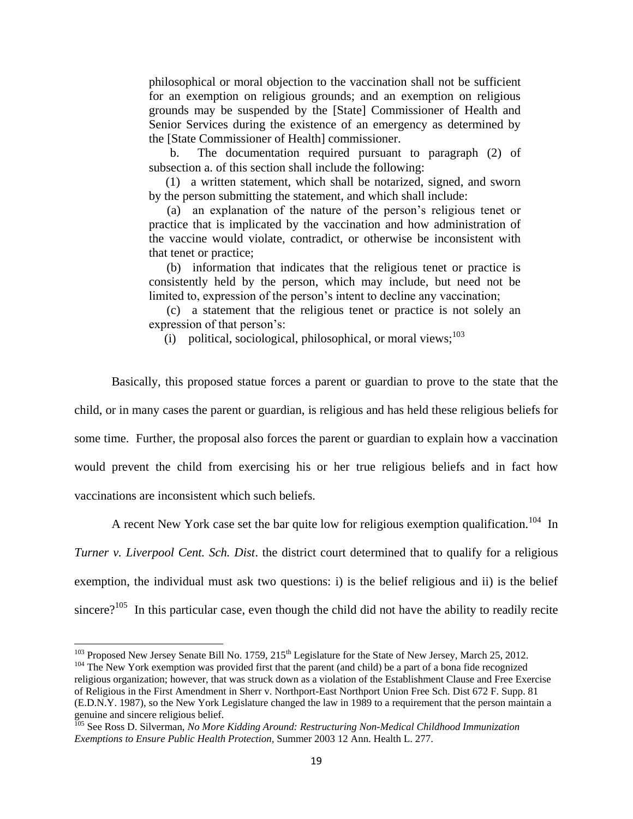philosophical or moral objection to the vaccination shall not be sufficient for an exemption on religious grounds; and an exemption on religious grounds may be suspended by the [State] Commissioner of Health and Senior Services during the existence of an emergency as determined by the [State Commissioner of Health] commissioner.

 b. The documentation required pursuant to paragraph (2) of subsection a. of this section shall include the following:

 (1) a written statement, which shall be notarized, signed, and sworn by the person submitting the statement, and which shall include:

 (a) an explanation of the nature of the person's religious tenet or practice that is implicated by the vaccination and how administration of the vaccine would violate, contradict, or otherwise be inconsistent with that tenet or practice;

 (b) information that indicates that the religious tenet or practice is consistently held by the person, which may include, but need not be limited to, expression of the person's intent to decline any vaccination;

 (c) a statement that the religious tenet or practice is not solely an expression of that person's:

(i) political, sociological, philosophical, or moral views; $103$ 

Basically, this proposed statue forces a parent or guardian to prove to the state that the

child, or in many cases the parent or guardian, is religious and has held these religious beliefs for some time. Further, the proposal also forces the parent or guardian to explain how a vaccination would prevent the child from exercising his or her true religious beliefs and in fact how vaccinations are inconsistent which such beliefs.

A recent New York case set the bar quite low for religious exemption qualification.<sup>104</sup> In *Turner v. Liverpool Cent. Sch. Dist*. the district court determined that to qualify for a religious exemption, the individual must ask two questions: i) is the belief religious and ii) is the belief sincere?<sup>105</sup> In this particular case, even though the child did not have the ability to readily recite

<sup>&</sup>lt;sup>103</sup> Proposed New Jersey Senate Bill No. 1759, 215<sup>th</sup> Legislature for the State of New Jersey, March 25, 2012.

<sup>&</sup>lt;sup>104</sup> The New York exemption was provided first that the parent (and child) be a part of a bona fide recognized religious organization; however, that was struck down as a violation of the Establishment Clause and Free Exercise of Religious in the First Amendment in Sherr v. Northport-East Northport Union Free Sch. Dist 672 F. Supp. 81 (E.D.N.Y. 1987), so the New York Legislature changed the law in 1989 to a requirement that the person maintain a genuine and sincere religious belief.

<sup>105</sup> See Ross D. Silverman, *No More Kidding Around: Restructuring Non-Medical Childhood Immunization Exemptions to Ensure Public Health Protection,* Summer 2003 12 Ann. Health L. 277.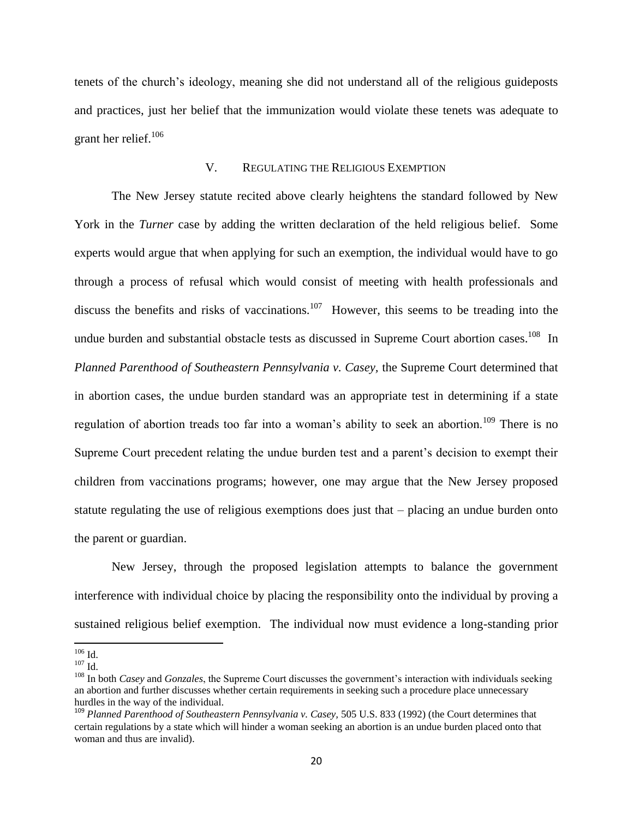tenets of the church's ideology, meaning she did not understand all of the religious guideposts and practices, just her belief that the immunization would violate these tenets was adequate to grant her relief. $106$ 

#### V. REGULATING THE RELIGIOUS EXEMPTION

The New Jersey statute recited above clearly heightens the standard followed by New York in the *Turner* case by adding the written declaration of the held religious belief. Some experts would argue that when applying for such an exemption, the individual would have to go through a process of refusal which would consist of meeting with health professionals and discuss the benefits and risks of vaccinations.<sup>107</sup> However, this seems to be treading into the undue burden and substantial obstacle tests as discussed in Supreme Court abortion cases.<sup>108</sup> In *Planned Parenthood of Southeastern Pennsylvania v. Casey, the Supreme Court determined that* in abortion cases, the undue burden standard was an appropriate test in determining if a state regulation of abortion treads too far into a woman's ability to seek an abortion.<sup>109</sup> There is no Supreme Court precedent relating the undue burden test and a parent's decision to exempt their children from vaccinations programs; however, one may argue that the New Jersey proposed statute regulating the use of religious exemptions does just that – placing an undue burden onto the parent or guardian.

New Jersey, through the proposed legislation attempts to balance the government interference with individual choice by placing the responsibility onto the individual by proving a sustained religious belief exemption. The individual now must evidence a long-standing prior

l

 $106$  Id.

 $107$  Id.

<sup>&</sup>lt;sup>108</sup> In both *Casey* and *Gonzales*, the Supreme Court discusses the government's interaction with individuals seeking an abortion and further discusses whether certain requirements in seeking such a procedure place unnecessary hurdles in the way of the individual.

<sup>&</sup>lt;sup>109</sup> Planned Parenthood of Southeastern Pennsylvania v. Casey, 505 U.S. 833 (1992) (the Court determines that certain regulations by a state which will hinder a woman seeking an abortion is an undue burden placed onto that woman and thus are invalid).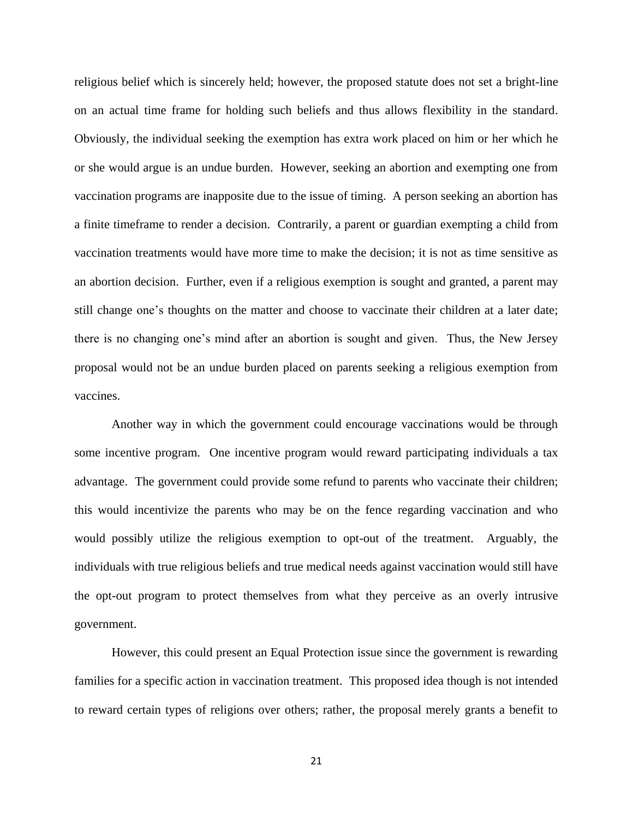religious belief which is sincerely held; however, the proposed statute does not set a bright-line on an actual time frame for holding such beliefs and thus allows flexibility in the standard. Obviously, the individual seeking the exemption has extra work placed on him or her which he or she would argue is an undue burden. However, seeking an abortion and exempting one from vaccination programs are inapposite due to the issue of timing. A person seeking an abortion has a finite timeframe to render a decision. Contrarily, a parent or guardian exempting a child from vaccination treatments would have more time to make the decision; it is not as time sensitive as an abortion decision. Further, even if a religious exemption is sought and granted, a parent may still change one's thoughts on the matter and choose to vaccinate their children at a later date; there is no changing one's mind after an abortion is sought and given. Thus, the New Jersey proposal would not be an undue burden placed on parents seeking a religious exemption from vaccines.

Another way in which the government could encourage vaccinations would be through some incentive program. One incentive program would reward participating individuals a tax advantage. The government could provide some refund to parents who vaccinate their children; this would incentivize the parents who may be on the fence regarding vaccination and who would possibly utilize the religious exemption to opt-out of the treatment. Arguably, the individuals with true religious beliefs and true medical needs against vaccination would still have the opt-out program to protect themselves from what they perceive as an overly intrusive government.

However, this could present an Equal Protection issue since the government is rewarding families for a specific action in vaccination treatment. This proposed idea though is not intended to reward certain types of religions over others; rather, the proposal merely grants a benefit to

21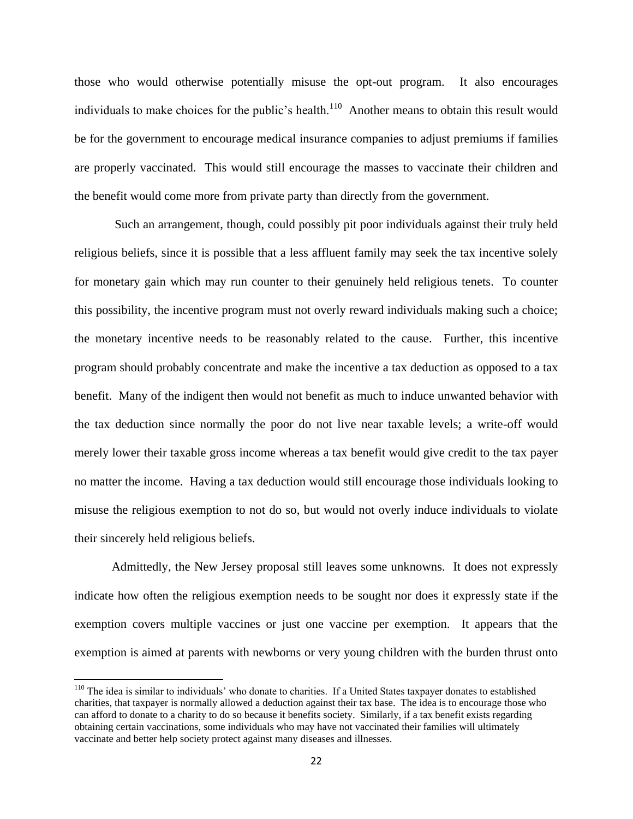those who would otherwise potentially misuse the opt-out program. It also encourages individuals to make choices for the public's health.<sup>110</sup> Another means to obtain this result would be for the government to encourage medical insurance companies to adjust premiums if families are properly vaccinated. This would still encourage the masses to vaccinate their children and the benefit would come more from private party than directly from the government.

Such an arrangement, though, could possibly pit poor individuals against their truly held religious beliefs, since it is possible that a less affluent family may seek the tax incentive solely for monetary gain which may run counter to their genuinely held religious tenets. To counter this possibility, the incentive program must not overly reward individuals making such a choice; the monetary incentive needs to be reasonably related to the cause. Further, this incentive program should probably concentrate and make the incentive a tax deduction as opposed to a tax benefit. Many of the indigent then would not benefit as much to induce unwanted behavior with the tax deduction since normally the poor do not live near taxable levels; a write-off would merely lower their taxable gross income whereas a tax benefit would give credit to the tax payer no matter the income. Having a tax deduction would still encourage those individuals looking to misuse the religious exemption to not do so, but would not overly induce individuals to violate their sincerely held religious beliefs.

Admittedly, the New Jersey proposal still leaves some unknowns. It does not expressly indicate how often the religious exemption needs to be sought nor does it expressly state if the exemption covers multiple vaccines or just one vaccine per exemption. It appears that the exemption is aimed at parents with newborns or very young children with the burden thrust onto

<sup>&</sup>lt;sup>110</sup> The idea is similar to individuals' who donate to charities. If a United States taxpayer donates to established charities, that taxpayer is normally allowed a deduction against their tax base. The idea is to encourage those who can afford to donate to a charity to do so because it benefits society. Similarly, if a tax benefit exists regarding obtaining certain vaccinations, some individuals who may have not vaccinated their families will ultimately vaccinate and better help society protect against many diseases and illnesses.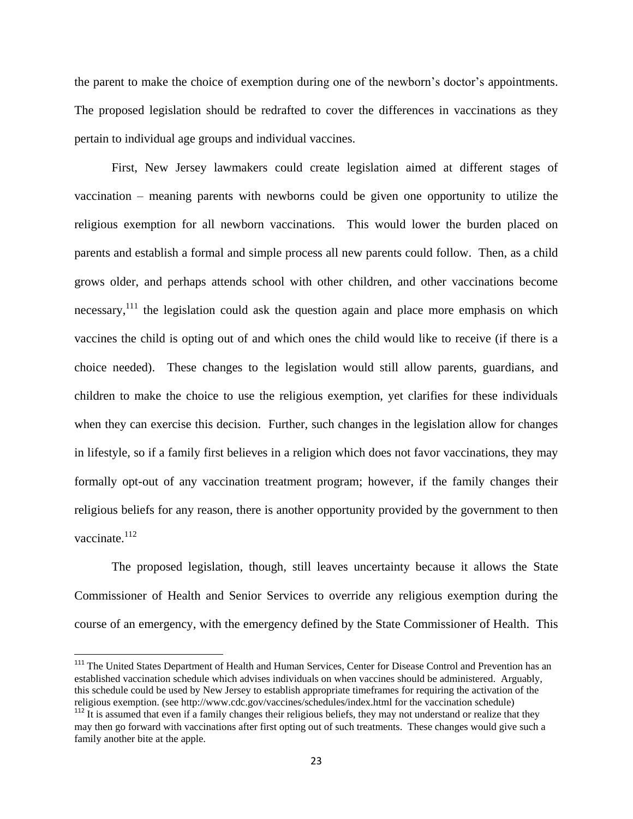the parent to make the choice of exemption during one of the newborn's doctor's appointments. The proposed legislation should be redrafted to cover the differences in vaccinations as they pertain to individual age groups and individual vaccines.

First, New Jersey lawmakers could create legislation aimed at different stages of vaccination – meaning parents with newborns could be given one opportunity to utilize the religious exemption for all newborn vaccinations. This would lower the burden placed on parents and establish a formal and simple process all new parents could follow. Then, as a child grows older, and perhaps attends school with other children, and other vaccinations become necessary,<sup>111</sup> the legislation could ask the question again and place more emphasis on which vaccines the child is opting out of and which ones the child would like to receive (if there is a choice needed). These changes to the legislation would still allow parents, guardians, and children to make the choice to use the religious exemption, yet clarifies for these individuals when they can exercise this decision. Further, such changes in the legislation allow for changes in lifestyle, so if a family first believes in a religion which does not favor vaccinations, they may formally opt-out of any vaccination treatment program; however, if the family changes their religious beliefs for any reason, there is another opportunity provided by the government to then vaccinate.<sup>112</sup>

The proposed legislation, though, still leaves uncertainty because it allows the State Commissioner of Health and Senior Services to override any religious exemption during the course of an emergency, with the emergency defined by the State Commissioner of Health. This

<sup>&</sup>lt;sup>111</sup> The United States Department of Health and Human Services, Center for Disease Control and Prevention has an established vaccination schedule which advises individuals on when vaccines should be administered. Arguably, this schedule could be used by New Jersey to establish appropriate timeframes for requiring the activation of the religious exemption. (see http://www.cdc.gov/vaccines/schedules/index.html for the vaccination schedule)

<sup>&</sup>lt;sup>112</sup> It is assumed that even if a family changes their religious beliefs, they may not understand or realize that they may then go forward with vaccinations after first opting out of such treatments. These changes would give such a family another bite at the apple.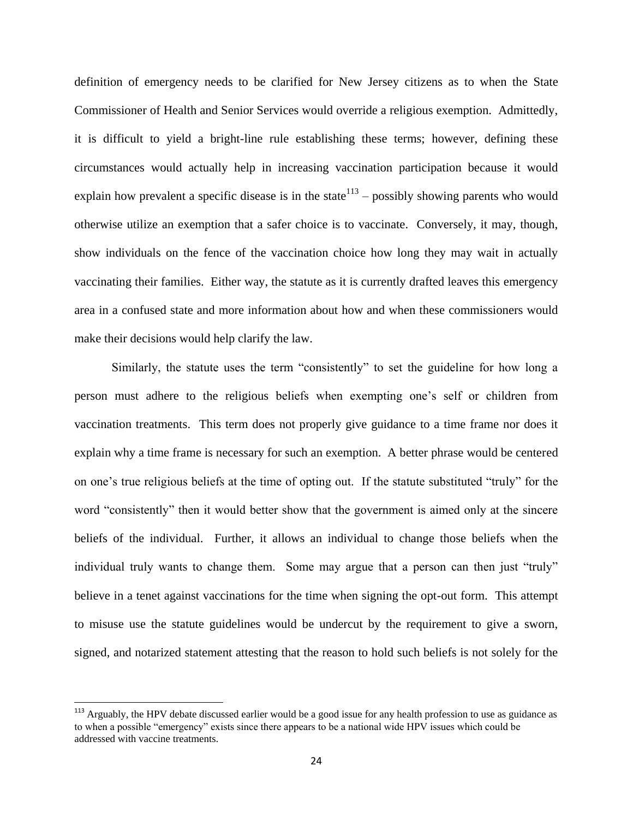definition of emergency needs to be clarified for New Jersey citizens as to when the State Commissioner of Health and Senior Services would override a religious exemption. Admittedly, it is difficult to yield a bright-line rule establishing these terms; however, defining these circumstances would actually help in increasing vaccination participation because it would explain how prevalent a specific disease is in the state  $113$  – possibly showing parents who would otherwise utilize an exemption that a safer choice is to vaccinate. Conversely, it may, though, show individuals on the fence of the vaccination choice how long they may wait in actually vaccinating their families. Either way, the statute as it is currently drafted leaves this emergency area in a confused state and more information about how and when these commissioners would make their decisions would help clarify the law.

Similarly, the statute uses the term "consistently" to set the guideline for how long a person must adhere to the religious beliefs when exempting one's self or children from vaccination treatments. This term does not properly give guidance to a time frame nor does it explain why a time frame is necessary for such an exemption. A better phrase would be centered on one's true religious beliefs at the time of opting out. If the statute substituted "truly" for the word "consistently" then it would better show that the government is aimed only at the sincere beliefs of the individual. Further, it allows an individual to change those beliefs when the individual truly wants to change them. Some may argue that a person can then just "truly" believe in a tenet against vaccinations for the time when signing the opt-out form. This attempt to misuse use the statute guidelines would be undercut by the requirement to give a sworn, signed, and notarized statement attesting that the reason to hold such beliefs is not solely for the

<sup>&</sup>lt;sup>113</sup> Arguably, the HPV debate discussed earlier would be a good issue for any health profession to use as guidance as to when a possible "emergency" exists since there appears to be a national wide HPV issues which could be addressed with vaccine treatments.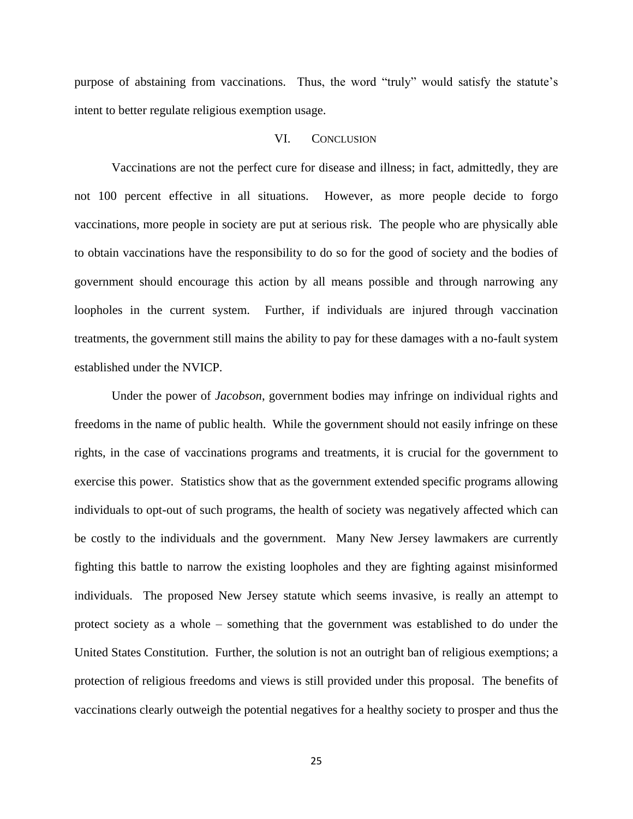purpose of abstaining from vaccinations. Thus, the word "truly" would satisfy the statute's intent to better regulate religious exemption usage.

### VI. CONCLUSION

Vaccinations are not the perfect cure for disease and illness; in fact, admittedly, they are not 100 percent effective in all situations. However, as more people decide to forgo vaccinations, more people in society are put at serious risk. The people who are physically able to obtain vaccinations have the responsibility to do so for the good of society and the bodies of government should encourage this action by all means possible and through narrowing any loopholes in the current system. Further, if individuals are injured through vaccination treatments, the government still mains the ability to pay for these damages with a no-fault system established under the NVICP.

Under the power of *Jacobson*, government bodies may infringe on individual rights and freedoms in the name of public health. While the government should not easily infringe on these rights, in the case of vaccinations programs and treatments, it is crucial for the government to exercise this power. Statistics show that as the government extended specific programs allowing individuals to opt-out of such programs, the health of society was negatively affected which can be costly to the individuals and the government. Many New Jersey lawmakers are currently fighting this battle to narrow the existing loopholes and they are fighting against misinformed individuals. The proposed New Jersey statute which seems invasive, is really an attempt to protect society as a whole – something that the government was established to do under the United States Constitution. Further, the solution is not an outright ban of religious exemptions; a protection of religious freedoms and views is still provided under this proposal. The benefits of vaccinations clearly outweigh the potential negatives for a healthy society to prosper and thus the